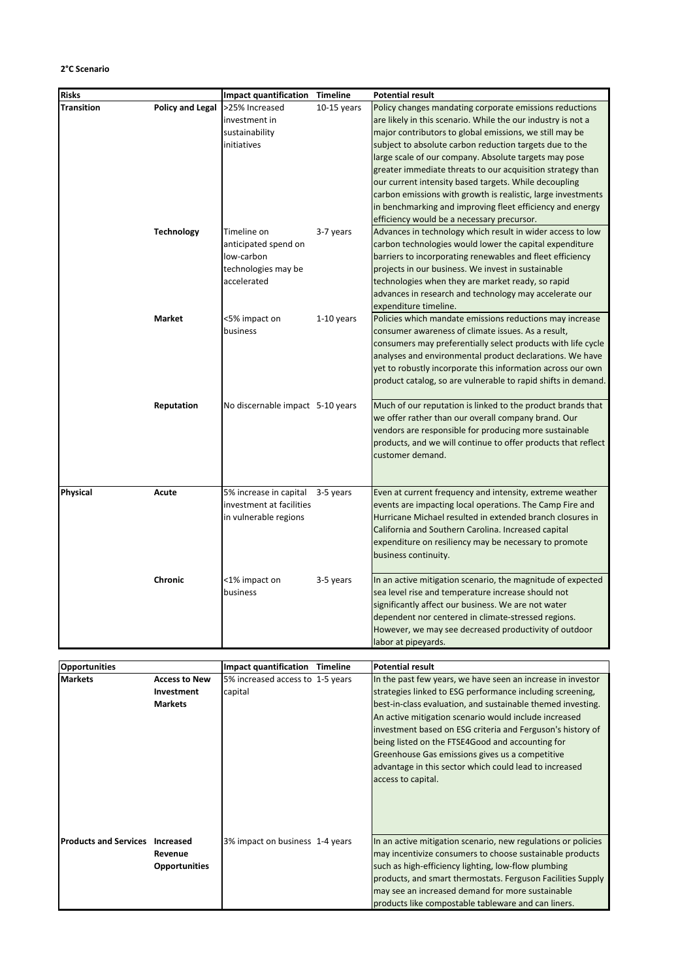## **2°C Scenario**

| <b>Risks</b>                           |                                                      | <b>Impact quantification</b>                                                            | Timeline      | <b>Potential result</b>                                                                                                                                                                                                                                                                                                                                                                                                                                                                                                                                                                                  |
|----------------------------------------|------------------------------------------------------|-----------------------------------------------------------------------------------------|---------------|----------------------------------------------------------------------------------------------------------------------------------------------------------------------------------------------------------------------------------------------------------------------------------------------------------------------------------------------------------------------------------------------------------------------------------------------------------------------------------------------------------------------------------------------------------------------------------------------------------|
| Transition                             | <b>Policy and Legal</b>                              | >25% Increased<br>investment in<br>sustainability<br>initiatives                        | $10-15$ years | Policy changes mandating corporate emissions reductions<br>are likely in this scenario. While the our industry is not a<br>major contributors to global emissions, we still may be<br>subject to absolute carbon reduction targets due to the<br>large scale of our company. Absolute targets may pose<br>greater immediate threats to our acquisition strategy than<br>our current intensity based targets. While decoupling<br>carbon emissions with growth is realistic, large investments<br>in benchmarking and improving fleet efficiency and energy<br>efficiency would be a necessary precursor. |
|                                        | <b>Technology</b>                                    | Timeline on<br>anticipated spend on<br>low-carbon<br>technologies may be<br>accelerated | 3-7 years     | Advances in technology which result in wider access to low<br>carbon technologies would lower the capital expenditure<br>barriers to incorporating renewables and fleet efficiency<br>projects in our business. We invest in sustainable<br>technologies when they are market ready, so rapid<br>advances in research and technology may accelerate our<br>expenditure timeline.                                                                                                                                                                                                                         |
|                                        | <b>Market</b>                                        | <5% impact on<br>business                                                               | 1-10 years    | Policies which mandate emissions reductions may increase<br>consumer awareness of climate issues. As a result,<br>consumers may preferentially select products with life cycle<br>analyses and environmental product declarations. We have<br>yet to robustly incorporate this information across our own<br>product catalog, so are vulnerable to rapid shifts in demand.                                                                                                                                                                                                                               |
|                                        | Reputation                                           | No discernable impact 5-10 years                                                        |               | Much of our reputation is linked to the product brands that<br>we offer rather than our overall company brand. Our<br>vendors are responsible for producing more sustainable<br>products, and we will continue to offer products that reflect<br>customer demand.                                                                                                                                                                                                                                                                                                                                        |
| Physical                               | Acute                                                | 5% increase in capital<br>investment at facilities<br>in vulnerable regions             | 3-5 years     | Even at current frequency and intensity, extreme weather<br>events are impacting local operations. The Camp Fire and<br>Hurricane Michael resulted in extended branch closures in<br>California and Southern Carolina. Increased capital<br>expenditure on resiliency may be necessary to promote<br>business continuity.                                                                                                                                                                                                                                                                                |
|                                        | Chronic                                              | <1% impact on<br>business                                                               | 3-5 years     | In an active mitigation scenario, the magnitude of expected<br>sea level rise and temperature increase should not<br>significantly affect our business. We are not water<br>dependent nor centered in climate-stressed regions.<br>However, we may see decreased productivity of outdoor<br>labor at pipeyards.                                                                                                                                                                                                                                                                                          |
|                                        |                                                      |                                                                                         |               |                                                                                                                                                                                                                                                                                                                                                                                                                                                                                                                                                                                                          |
| <b>Opportunities</b><br>Markets        | <b>Access to New</b><br>Investment<br><b>Markets</b> | Impact quantification Timeline<br>5% increased access to 1-5 years<br>capital           |               | <b>Potential result</b><br>In the past few years, we have seen an increase in investor<br>strategies linked to ESG performance including screening,<br>best-in-class evaluation, and sustainable themed investing.<br>An active mitigation scenario would include increased<br>investment based on ESG criteria and Ferguson's history of<br>being listed on the FTSE4Good and accounting for<br>Greenhouse Gas emissions gives us a competitive<br>advantage in this sector which could lead to increased<br>access to capital.                                                                         |
| <b>Products and Services Increased</b> | Revenue<br><b>Opportunities</b>                      | 3% impact on business 1-4 years                                                         |               | In an active mitigation scenario, new regulations or policies<br>may incentivize consumers to choose sustainable products<br>such as high-efficiency lighting, low-flow plumbing<br>products, and smart thermostats. Ferguson Facilities Supply<br>may see an increased demand for more sustainable<br>products like compostable tableware and can liners.                                                                                                                                                                                                                                               |